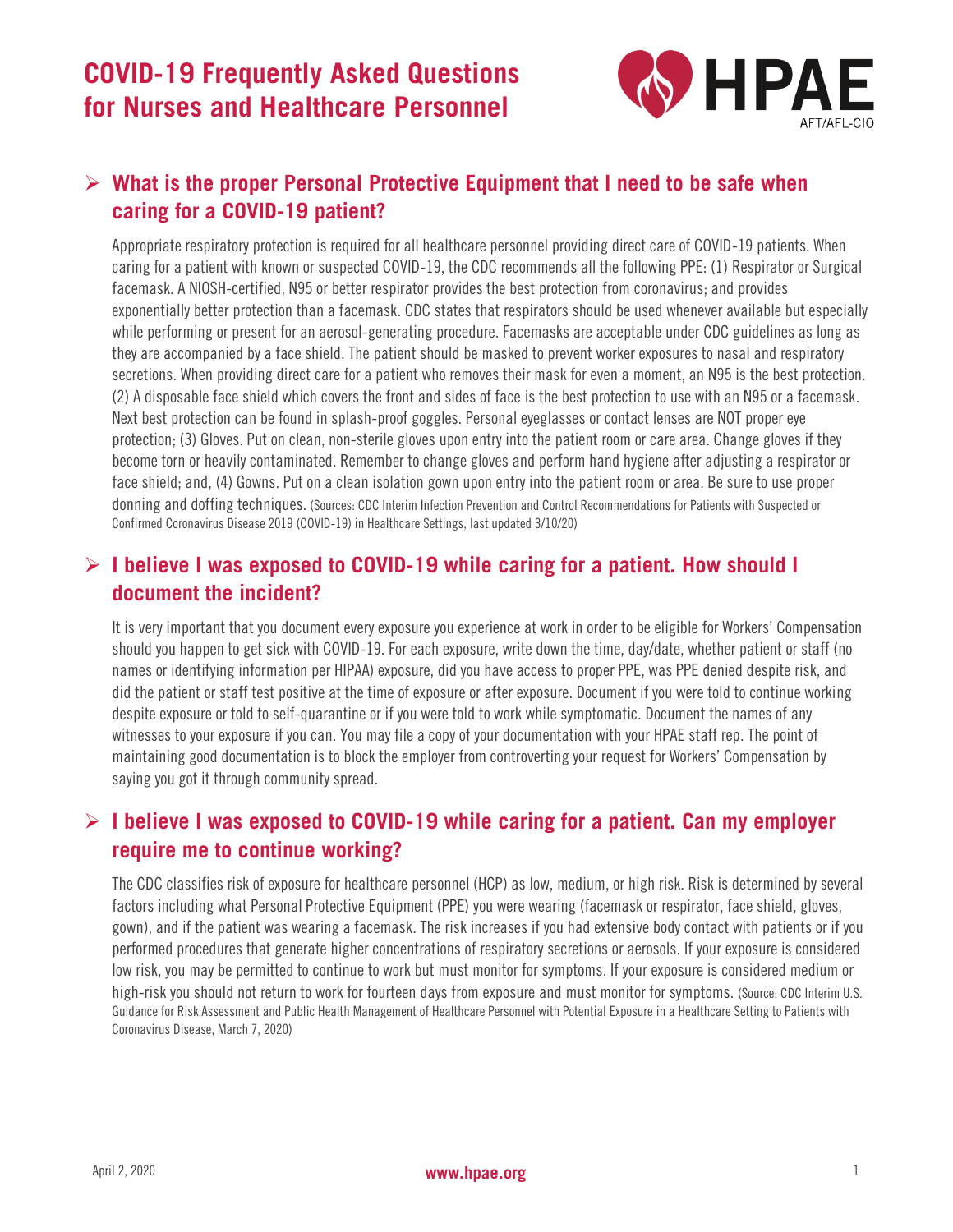

## ➢ **What is the proper Personal Protective Equipment that I need to be safe when caring for a COVID-19 patient?**

Appropriate respiratory protection is required for all healthcare personnel providing direct care of COVID-19 patients. When caring for a patient with known or suspected COVID-19, the CDC recommends all the following PPE: (1) Respirator or Surgical facemask. A NIOSH-certified, N95 or better respirator provides the best protection from coronavirus; and provides exponentially better protection than a facemask. CDC states that respirators should be used whenever available but especially while performing or present for an aerosol-generating procedure. Facemasks are acceptable under CDC guidelines as long as they are accompanied by a face shield. The patient should be masked to prevent worker exposures to nasal and respiratory secretions. When providing direct care for a patient who removes their mask for even a moment, an N95 is the best protection. (2) A disposable face shield which covers the front and sides of face is the best protection to use with an N95 or a facemask. Next best protection can be found in splash-proof goggles. Personal eyeglasses or contact lenses are NOT proper eye protection; (3) Gloves. Put on clean, non-sterile gloves upon entry into the patient room or care area. Change gloves if they become torn or heavily contaminated. Remember to change gloves and perform hand hygiene after adjusting a respirator or face shield; and, (4) Gowns. Put on a clean isolation gown upon entry into the patient room or area. Be sure to use proper donning and doffing techniques. (Sources: CDC Interim Infection Prevention and Control Recommendations for Patients with Suspected or Confirmed Coronavirus Disease 2019 (COVID-19) in Healthcare Settings, last updated 3/10/20)

## ➢ **I believe I was exposed to COVID-19 while caring for a patient. How should I document the incident?**

It is very important that you document every exposure you experience at work in order to be eligible for Workers' Compensation should you happen to get sick with COVID-19. For each exposure, write down the time, day/date, whether patient or staff (no names or identifying information per HIPAA) exposure, did you have access to proper PPE, was PPE denied despite risk, and did the patient or staff test positive at the time of exposure or after exposure. Document if you were told to continue working despite exposure or told to self-quarantine or if you were told to work while symptomatic. Document the names of any witnesses to your exposure if you can. You may file a copy of your documentation with your HPAE staff rep. The point of maintaining good documentation is to block the employer from controverting your request for Workers' Compensation by saying you got it through community spread.

## ➢ **I believe I was exposed to COVID-19 while caring for a patient. Can my employer require me to continue working?**

The CDC classifies risk of exposure for healthcare personnel (HCP) as low, medium, or high risk. Risk is determined by several factors including what Personal Protective Equipment (PPE) you were wearing (facemask or respirator, face shield, gloves, gown), and if the patient was wearing a facemask. The risk increases if you had extensive body contact with patients or if you performed procedures that generate higher concentrations of respiratory secretions or aerosols. If your exposure is considered low risk, you may be permitted to continue to work but must monitor for symptoms. If your exposure is considered medium or high-risk you should not return to work for fourteen days from exposure and must monitor for symptoms. (Source: CDC Interim U.S. Guidance for Risk Assessment and Public Health Management of Healthcare Personnel with Potential Exposure in a Healthcare Setting to Patients with Coronavirus Disease, March 7, 2020)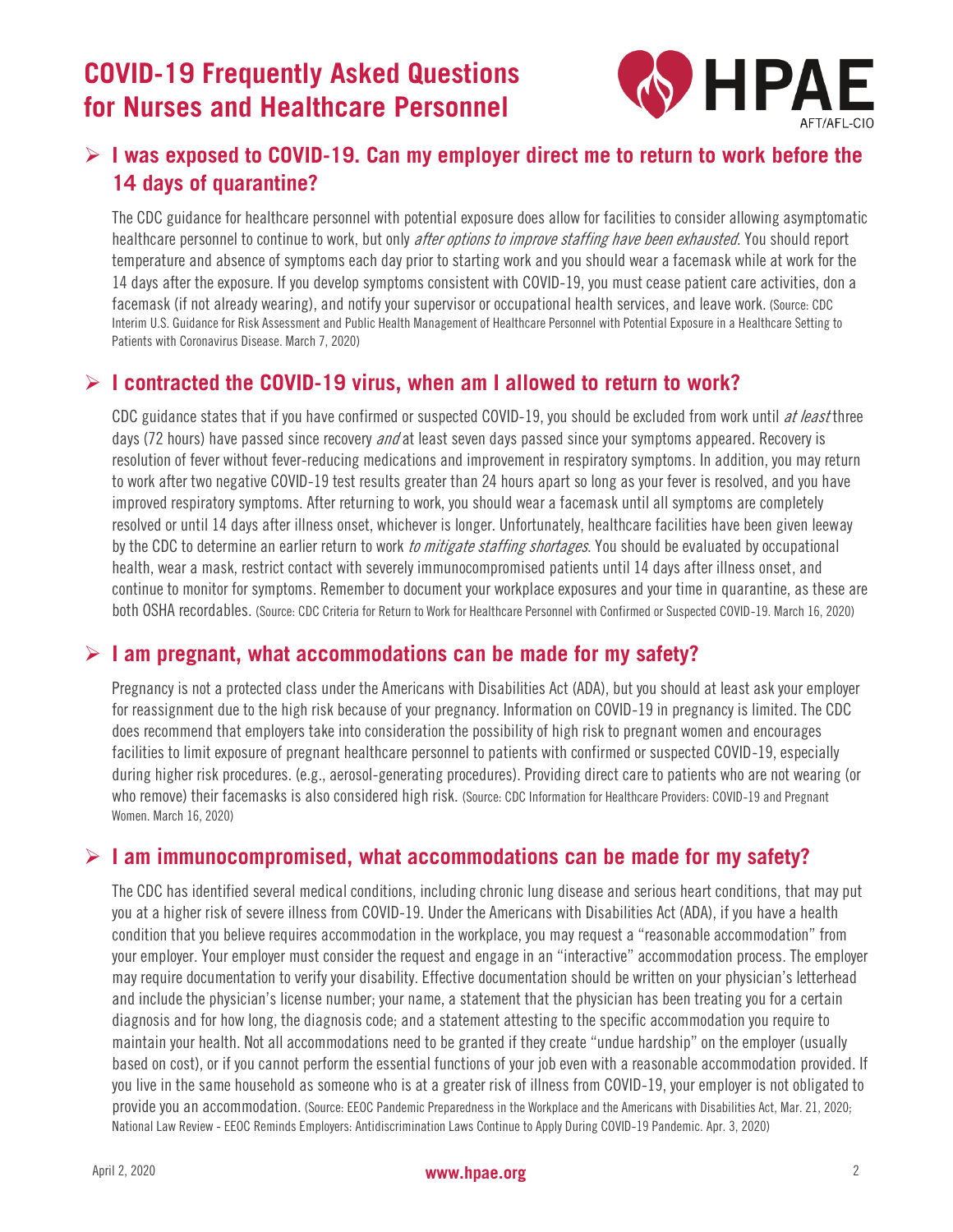# **COVID-19 Frequently Asked Questions for Nurses and Healthcare Personnel**



## ➢ **I was exposed to COVID-19. Can my employer direct me to return to work before the 14 days of quarantine?**

The CDC guidance for healthcare personnel with potential exposure does allow for facilities to consider allowing asymptomatic healthcare personnel to continue to work, but only *after options to improve staffing have been exhausted*. You should report temperature and absence of symptoms each day prior to starting work and you should wear a facemask while at work for the 14 days after the exposure. If you develop symptoms consistent with COVID-19, you must cease patient care activities, don a facemask (if not already wearing), and notify your supervisor or occupational health services, and leave work. (Source: CDC Interim U.S. Guidance for Risk Assessment and Public Health Management of Healthcare Personnel with Potential Exposure in a Healthcare Setting to Patients with Coronavirus Disease. March 7, 2020)

## ➢ **I contracted the COVID-19 virus, when am I allowed to return to work?**

CDC guidance states that if you have confirmed or suspected COVID-19, you should be excluded from work until at least three days (72 hours) have passed since recovery *and* at least seven days passed since your symptoms appeared. Recovery is resolution of fever without fever-reducing medications and improvement in respiratory symptoms. In addition, you may return to work after two negative COVID-19 test results greater than 24 hours apart so long as your fever is resolved, and you have improved respiratory symptoms. After returning to work, you should wear a facemask until all symptoms are completely resolved or until 14 days after illness onset, whichever is longer. Unfortunately, healthcare facilities have been given leeway by the CDC to determine an earlier return to work to mitigate staffing shortages. You should be evaluated by occupational health, wear a mask, restrict contact with severely immunocompromised patients until 14 days after illness onset, and continue to monitor for symptoms. Remember to document your workplace exposures and your time in quarantine, as these are both OSHA recordables. (Source: CDC Criteria for Return to Work for Healthcare Personnel with Confirmed or Suspected COVID-19. March 16, 2020)

#### ➢ **I am pregnant, what accommodations can be made for my safety?**

Pregnancy is not a protected class under the Americans with Disabilities Act (ADA), but you should at least ask your employer for reassignment due to the high risk because of your pregnancy. Information on COVID-19 in pregnancy is limited. The CDC does recommend that employers take into consideration the possibility of high risk to pregnant women and encourages facilities to limit exposure of pregnant healthcare personnel to patients with confirmed or suspected COVID-19, especially during higher risk procedures. (e.g., aerosol-generating procedures). Providing direct care to patients who are not wearing (or who remove) their facemasks is also considered high risk. (Source: CDC Information for Healthcare Providers: COVID-19 and Pregnant Women. March 16, 2020)

#### ➢ **I am immunocompromised, what accommodations can be made for my safety?**

The CDC has identified several medical conditions, including chronic lung disease and serious heart conditions, that may put you at a higher risk of severe illness from COVID-19. Under the Americans with Disabilities Act (ADA), if you have a health condition that you believe requires accommodation in the workplace, you may request a "reasonable accommodation" from your employer. Your employer must consider the request and engage in an "interactive" accommodation process. The employer may require documentation to verify your disability. Effective documentation should be written on your physician's letterhead and include the physician's license number; your name, a statement that the physician has been treating you for a certain diagnosis and for how long, the diagnosis code; and a statement attesting to the specific accommodation you require to maintain your health. Not all accommodations need to be granted if they create "undue hardship" on the employer (usually based on cost), or if you cannot perform the essential functions of your job even with a reasonable accommodation provided. If you live in the same household as someone who is at a greater risk of illness from COVID-19, your employer is not obligated to provide you an accommodation. (Source: EEOC Pandemic Preparedness in the Workplace and the Americans with Disabilities Act, Mar. 21, 2020; National Law Review - EEOC Reminds Employers: Antidiscrimination Laws Continue to Apply During COVID-19 Pandemic. Apr. 3, 2020)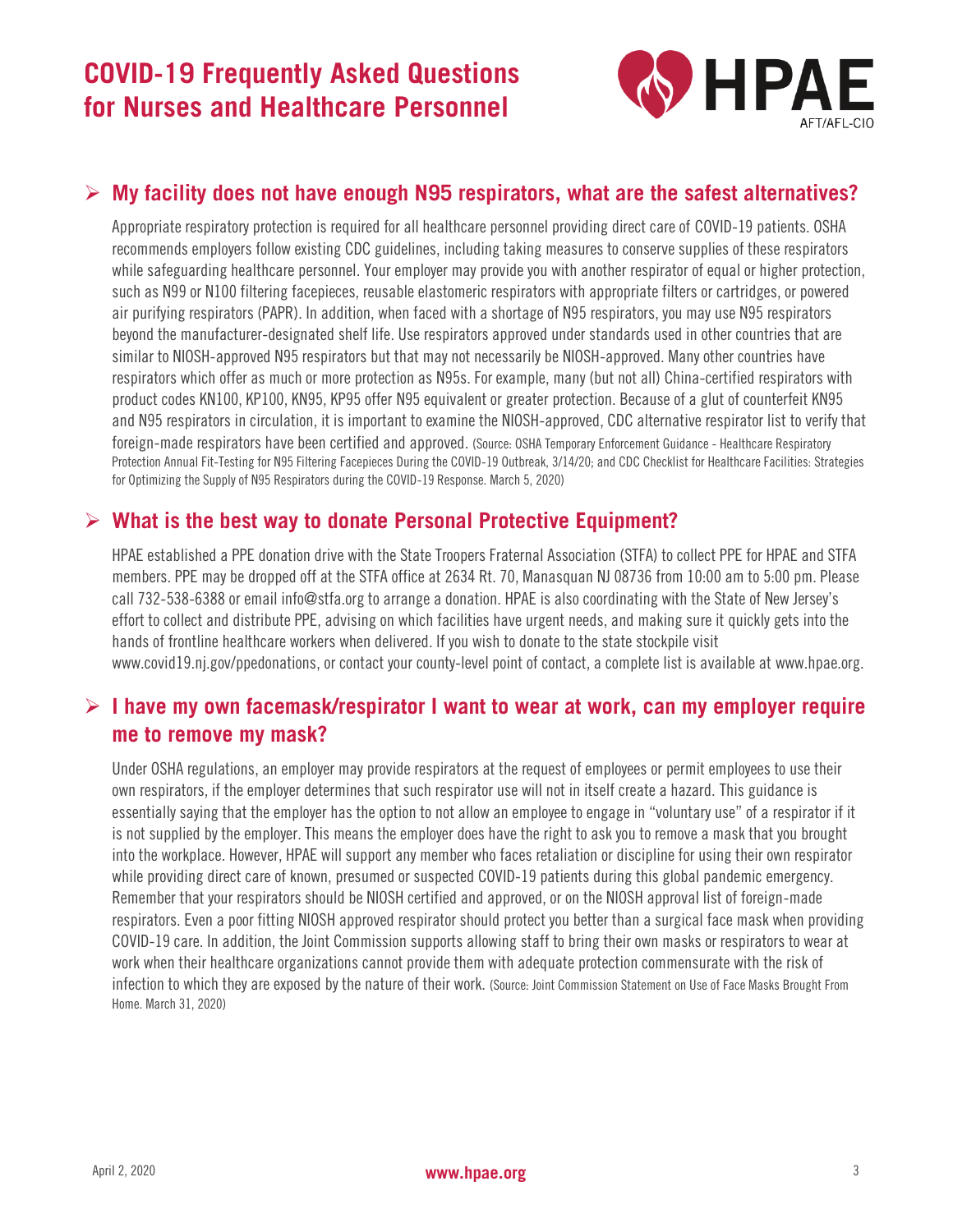

### ➢ **My facility does not have enough N95 respirators, what are the safest alternatives?**

Appropriate respiratory protection is required for all healthcare personnel providing direct care of COVID-19 patients. OSHA recommends employers follow existing CDC guidelines, including taking measures to conserve supplies of these respirators while safeguarding healthcare personnel. Your employer may provide you with another respirator of equal or higher protection, such as N99 or N100 filtering facepieces, reusable elastomeric respirators with appropriate filters or cartridges, or powered air purifying respirators (PAPR). In addition, when faced with a shortage of N95 respirators, you may use N95 respirators beyond the manufacturer-designated shelf life. Use respirators approved under standards used in other countries that are similar to NIOSH-approved N95 respirators but that may not necessarily be NIOSH-approved. Many other countries have respirators which offer as much or more protection as N95s. For example, many (but not all) China-certified respirators with product codes KN100, KP100, KN95, KP95 offer N95 equivalent or greater protection. Because of a glut of counterfeit KN95 and N95 respirators in circulation, it is important to examine the NIOSH-approved, [CDC alternative respirator list](https://www.cdc.gov/coronavirus/2019-ncov/hcp/respirators-strategy/crisis-alternate-strategies.html) to verify that foreign-made respirators have been certified and approved. (Source: OSHA Temporary Enforcement Guidance - Healthcare Respiratory Protection Annual Fit-Testing for N95 Filtering Facepieces During the COVID-19 Outbreak, 3/14/20; and CDC Checklist for Healthcare Facilities: Strategies for Optimizing the Supply of N95 Respirators during the COVID-19 Response. March 5, 2020)

#### ➢ **What is the best way to donate Personal Protective Equipment?**

HPAE established a PPE donation drive with the State Troopers Fraternal Association (STFA) to collect PPE for HPAE and STFA members. PPE may be dropped off at the STFA office at 2634 Rt. 70, Manasquan NJ 08736 from 10:00 am to 5:00 pm. Please call 732-538-6388 or email info@stfa.org to arrange a donation. HPAE is also coordinating with the State of New Jersey's effort to collect and distribute PPE, advising on which facilities have urgent needs, and making sure it quickly gets into the hands of frontline healthcare workers when delivered. If you wish to donate to the state stockpile visit www.covid19.nj.gov/ppedonations, or contact your county-level point of contact, a complete list is available at www.hpae.org.

## ➢ **I have my own facemask/respirator I want to wear at work, can my employer require me to remove my mask?**

Under OSHA regulations, an employer may provide respirators at the request of employees or permit employees to use their own respirators, if the employer determines that such respirator use will not in itself create a hazard. This guidance is essentially saying that the employer has the option to not allow an employee to engage in "voluntary use" of a respirator if it is not supplied by the employer. This means the employer does have the right to ask you to remove a mask that you brought into the workplace. However, HPAE will support any member who faces retaliation or discipline for using their own respirator while providing direct care of known, presumed or suspected COVID-19 patients during this global pandemic emergency. Remember that your respirators should be NIOSH certified and approved, or on the NIOSH approval list of foreign-made respirators. Even a poor fitting NIOSH approved respirator should protect you better than a surgical face mask when providing COVID-19 care. In addition, the Joint Commission supports allowing staff to bring their own masks or respirators to wear at work when their healthcare organizations cannot provide them with adequate protection commensurate with the risk of infection to which they are exposed by the nature of their work. (Source: Joint Commission Statement on Use of Face Masks Brought From Home. March 31, 2020)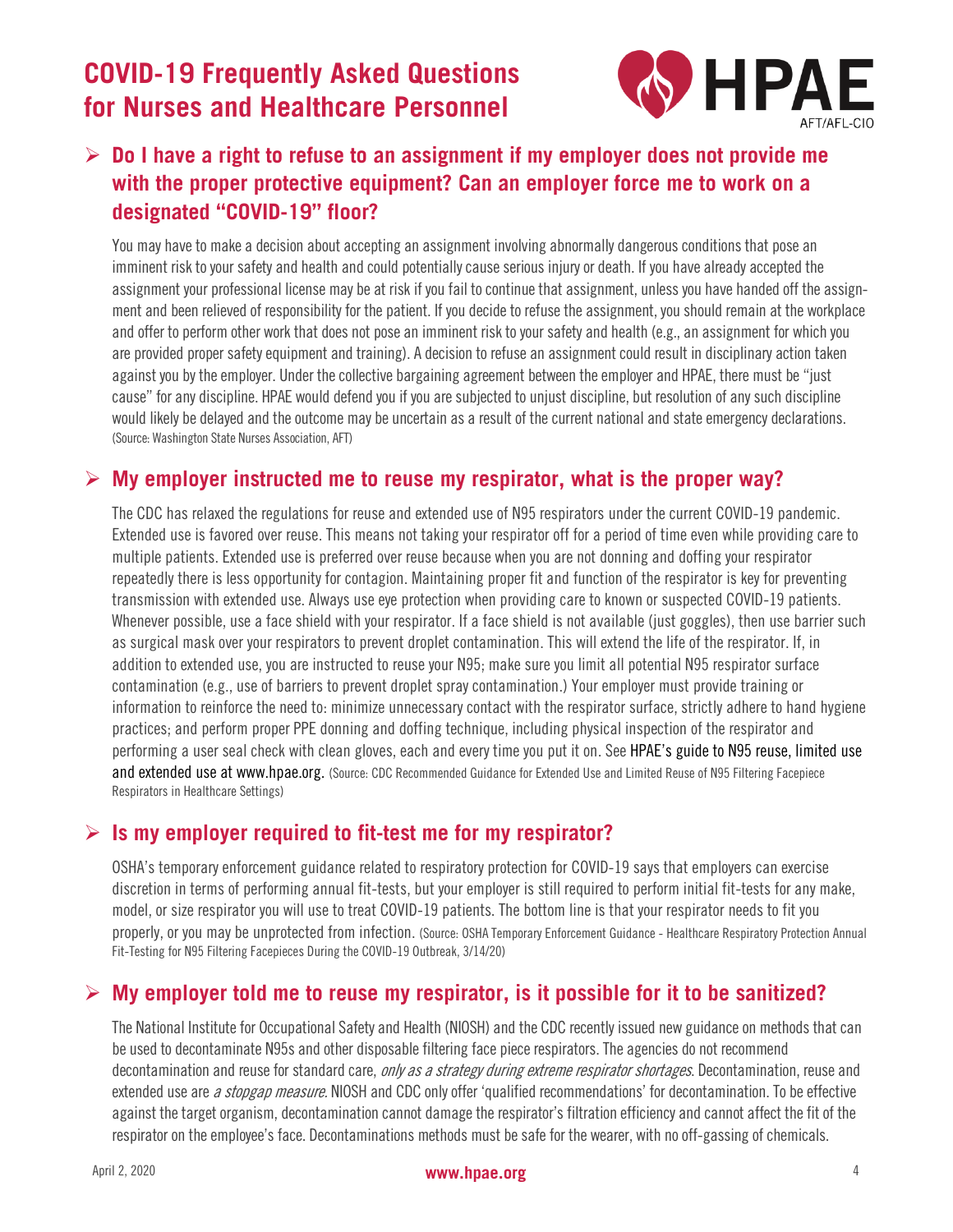# **COVID-19 Frequently Asked Questions for Nurses and Healthcare Personnel**



## ➢ **Do I have a right to refuse to an assignment if my employer does not provide me with the proper protective equipment? Can an employer force me to work on a designated "COVID-19" floor?**

You may have to make a decision about accepting an assignment involving abnormally dangerous conditions that pose an imminent risk to your safety and health and could potentially cause serious injury or death. If you have already accepted the assignment your professional license may be at risk if you fail to continue that assignment, unless you have handed off the assignment and been relieved of responsibility for the patient. If you decide to refuse the assignment, you should remain at the workplace and offer to perform other work that does not pose an imminent risk to your safety and health (e.g., an assignment for which you are provided proper safety equipment and training). A decision to refuse an assignment could result in disciplinary action taken against you by the employer. Under the collective bargaining agreement between the employer and HPAE, there must be "just cause" for any discipline. HPAE would defend you if you are subjected to unjust discipline, but resolution of any such discipline would likely be delayed and the outcome may be uncertain as a result of the current national and state emergency declarations. (Source: Washington State Nurses Association, AFT)

#### ➢ **My employer instructed me to reuse my respirator, what is the proper way?**

The CDC has relaxed the regulations for reuse and extended use of N95 respirators under the current COVID-19 pandemic. Extended use is favored over reuse. This means not taking your respirator off for a period of time even while providing care to multiple patients. Extended use is preferred over reuse because when you are not donning and doffing your respirator repeatedly there is less opportunity for contagion. Maintaining proper fit and function of the respirator is key for preventing transmission with extended use. Always use eye protection when providing care to known or suspected COVID-19 patients. Whenever possible, use a face shield with your respirator. If a face shield is not available (just goggles), then use barrier such as surgical mask over your respirators to prevent droplet contamination. This will extend the life of the respirator. If, in addition to extended use, you are instructed to reuse your N95; make sure you limit all potential N95 respirator surface contamination (e.g., use of barriers to prevent droplet spray contamination.) Your employer must provide training or information to reinforce the need to: minimize unnecessary contact with the respirator surface, strictly adhere to hand hygiene practices; and perform proper PPE donning and doffing technique, including physical inspection of the respirator and performing a user seal check with clean gloves, each and every time you put it on. See HPAE's guide to N95 reuse, limited use and extended use at www.hpae.org. (Source: CDC Recommended Guidance for Extended Use and Limited Reuse of N95 Filtering Facepiece Respirators in Healthcare Settings)

#### ➢ **Is my employer required to fit-test me for my respirator?**

OSHA's temporary enforcement guidance related to respiratory protection for COVID-19 says that employers can exercise discretion in terms of performing annual fit-tests, but your employer is still required to perform initial fit-tests for any make, model, or size respirator you will use to treat COVID-19 patients. The bottom line is that your respirator needs to fit you properly, or you may be unprotected from infection. (Source: [OSHA Temporary Enforcement Guidance -](https://www.osha.gov/memos/2020-03-14/temporary-enforcement-guidance-healthcare-respiratory-protection-annual-fit) Healthcare Respiratory Protection Annual [Fit-Testing for N95 Filtering Facepieces During the COVID-19 Outbreak,](https://www.osha.gov/memos/2020-03-14/temporary-enforcement-guidance-healthcare-respiratory-protection-annual-fit) 3/14/20)

## ➢ **My employer told me to reuse my respirator, is it possible for it to be sanitized?**

The National Institute for Occupational Safety and Health (NIOSH) and the CDC recently issued new guidance on methods that can be used to decontaminate N95s and other disposable filtering face piece respirators. The agencies do not recommend decontamination and reuse for standard care, only as a strategy during extreme respirator shortages. Decontamination, reuse and extended use are *a stopgap measure*. NIOSH and CDC only offer 'qualified recommendations' for decontamination. To be effective against the target organism, decontamination cannot damage the respirator's filtration efficiency and cannot affect the fitof the respirator on the employee's face. Decontaminations methods must be safe for the wearer, with no off-gassing of chemicals.